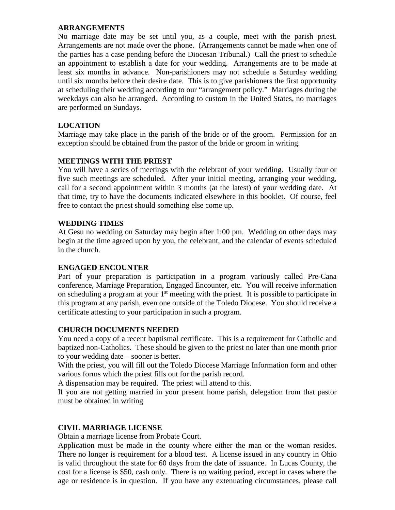### **ARRANGEMENTS**

No marriage date may be set until you, as a couple, meet with the parish priest. Arrangements are not made over the phone. (Arrangements cannot be made when one of the parties has a case pending before the Diocesan Tribunal.) Call the priest to schedule an appointment to establish a date for your wedding. Arrangements are to be made at least six months in advance. Non-parishioners may not schedule a Saturday wedding until six months before their desire date. This is to give parishioners the first opportunity at scheduling their wedding according to our "arrangement policy." Marriages during the weekdays can also be arranged. According to custom in the United States, no marriages are performed on Sundays.

# **LOCATION**

Marriage may take place in the parish of the bride or of the groom. Permission for an exception should be obtained from the pastor of the bride or groom in writing.

# **MEETINGS WITH THE PRIEST**

You will have a series of meetings with the celebrant of your wedding. Usually four or five such meetings are scheduled. After your initial meeting, arranging your wedding, call for a second appointment within 3 months (at the latest) of your wedding date. At that time, try to have the documents indicated elsewhere in this booklet. Of course, feel free to contact the priest should something else come up.

## **WEDDING TIMES**

At Gesu no wedding on Saturday may begin after 1:00 pm. Wedding on other days may begin at the time agreed upon by you, the celebrant, and the calendar of events scheduled in the church.

### **ENGAGED ENCOUNTER**

Part of your preparation is participation in a program variously called Pre-Cana conference, Marriage Preparation, Engaged Encounter, etc. You will receive information on scheduling a program at your  $1<sup>st</sup>$  meeting with the priest. It is possible to participate in this program at any parish, even one outside of the Toledo Diocese. You should receive a certificate attesting to your participation in such a program.

# **CHURCH DOCUMENTS NEEDED**

You need a copy of a recent baptismal certificate. This is a requirement for Catholic and baptized non-Catholics. These should be given to the priest no later than one month prior to your wedding date – sooner is better.

With the priest, you will fill out the Toledo Diocese Marriage Information form and other various forms which the priest fills out for the parish record.

A dispensation may be required. The priest will attend to this.

If you are not getting married in your present home parish, delegation from that pastor must be obtained in writing

# **CIVIL MARRIAGE LICENSE**

Obtain a marriage license from Probate Court.

Application must be made in the county where either the man or the woman resides. There no longer is requirement for a blood test. A license issued in any country in Ohio is valid throughout the state for 60 days from the date of issuance. In Lucas County, the cost for a license is \$50, cash only. There is no waiting period, except in cases where the age or residence is in question. If you have any extenuating circumstances, please call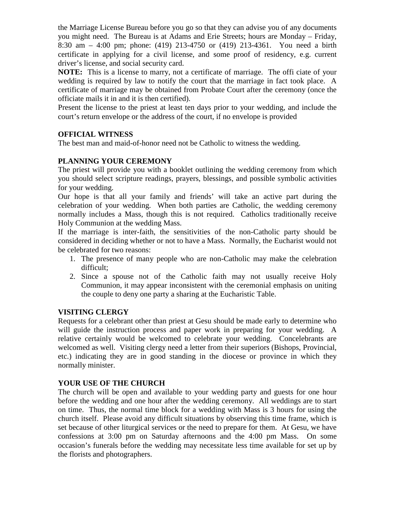the Marriage License Bureau before you go so that they can advise you of any documents you might need. The Bureau is at Adams and Erie Streets; hours are Monday – Friday, 8:30 am – 4:00 pm; phone: (419) 213-4750 or (419) 213-4361. You need a birth certificate in applying for a civil license, and some proof of residency, e.g. current driver's license, and social security card.

**NOTE:** This is a license to marry, not a certificate of marriage. The offi ciate of your wedding is required by law to notify the court that the marriage in fact took place. A certificate of marriage may be obtained from Probate Court after the ceremony (once the officiate mails it in and it is then certified).

Present the license to the priest at least ten days prior to your wedding, and include the court's return envelope or the address of the court, if no envelope is provided

# **OFFICIAL WITNESS**

The best man and maid-of-honor need not be Catholic to witness the wedding.

# **PLANNING YOUR CEREMONY**

The priest will provide you with a booklet outlining the wedding ceremony from which you should select scripture readings, prayers, blessings, and possible symbolic activities for your wedding.

Our hope is that all your family and friends' will take an active part during the celebration of your wedding. When both parties are Catholic, the wedding ceremony normally includes a Mass, though this is not required. Catholics traditionally receive Holy Communion at the wedding Mass.

If the marriage is inter-faith, the sensitivities of the non-Catholic party should be considered in deciding whether or not to have a Mass. Normally, the Eucharist would not be celebrated for two reasons:

- 1. The presence of many people who are non-Catholic may make the celebration difficult;
- 2. Since a spouse not of the Catholic faith may not usually receive Holy Communion, it may appear inconsistent with the ceremonial emphasis on uniting the couple to deny one party a sharing at the Eucharistic Table.

# **VISITING CLERGY**

Requests for a celebrant other than priest at Gesu should be made early to determine who will guide the instruction process and paper work in preparing for your wedding. A relative certainly would be welcomed to celebrate your wedding. Concelebrants are welcomed as well. Visiting clergy need a letter from their superiors (Bishops, Provincial, etc.) indicating they are in good standing in the diocese or province in which they normally minister.

# **YOUR USE OF THE CHURCH**

The church will be open and available to your wedding party and guests for one hour before the wedding and one hour after the wedding ceremony. All weddings are to start on time. Thus, the normal time block for a wedding with Mass is 3 hours for using the church itself. Please avoid any difficult situations by observing this time frame, which is set because of other liturgical services or the need to prepare for them. At Gesu, we have confessions at 3:00 pm on Saturday afternoons and the 4:00 pm Mass. On some occasion's funerals before the wedding may necessitate less time available for set up by the florists and photographers.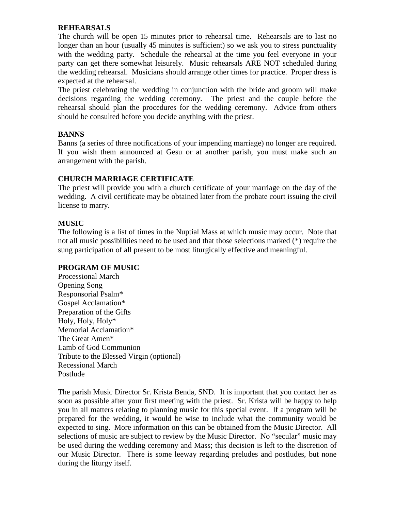### **REHEARSALS**

The church will be open 15 minutes prior to rehearsal time. Rehearsals are to last no longer than an hour (usually 45 minutes is sufficient) so we ask you to stress punctuality with the wedding party. Schedule the rehearsal at the time you feel everyone in your party can get there somewhat leisurely. Music rehearsals ARE NOT scheduled during the wedding rehearsal. Musicians should arrange other times for practice. Proper dress is expected at the rehearsal.

The priest celebrating the wedding in conjunction with the bride and groom will make decisions regarding the wedding ceremony. The priest and the couple before the rehearsal should plan the procedures for the wedding ceremony. Advice from others should be consulted before you decide anything with the priest.

### **BANNS**

Banns (a series of three notifications of your impending marriage) no longer are required. If you wish them announced at Gesu or at another parish, you must make such an arrangement with the parish.

## **CHURCH MARRIAGE CERTIFICATE**

The priest will provide you with a church certificate of your marriage on the day of the wedding. A civil certificate may be obtained later from the probate court issuing the civil license to marry.

## **MUSIC**

The following is a list of times in the Nuptial Mass at which music may occur. Note that not all music possibilities need to be used and that those selections marked (\*) require the sung participation of all present to be most liturgically effective and meaningful.

### **PROGRAM OF MUSIC**

Processional March Opening Song Responsorial Psalm\* Gospel Acclamation\* Preparation of the Gifts Holy, Holy, Holy\* Memorial Acclamation\* The Great Amen\* Lamb of God Communion Tribute to the Blessed Virgin (optional) Recessional March Postlude

The parish Music Director Sr. Krista Benda, SND. It is important that you contact her as soon as possible after your first meeting with the priest. Sr. Krista will be happy to help you in all matters relating to planning music for this special event. If a program will be prepared for the wedding, it would be wise to include what the community would be expected to sing. More information on this can be obtained from the Music Director. All selections of music are subject to review by the Music Director. No "secular" music may be used during the wedding ceremony and Mass; this decision is left to the discretion of our Music Director. There is some leeway regarding preludes and postludes, but none during the liturgy itself.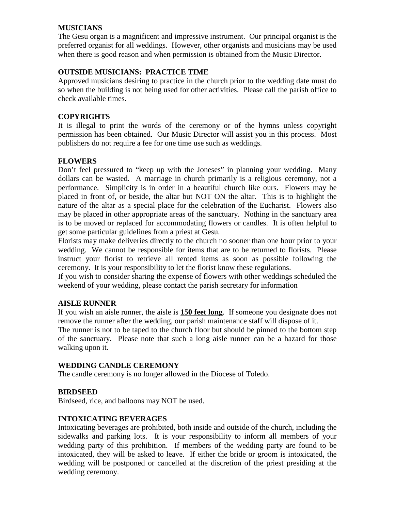## **MUSICIANS**

The Gesu organ is a magnificent and impressive instrument. Our principal organist is the preferred organist for all weddings. However, other organists and musicians may be used when there is good reason and when permission is obtained from the Music Director.

## **OUTSIDE MUSICIANS: PRACTICE TIME**

Approved musicians desiring to practice in the church prior to the wedding date must do so when the building is not being used for other activities. Please call the parish office to check available times.

## **COPYRIGHTS**

It is illegal to print the words of the ceremony or of the hymns unless copyright permission has been obtained. Our Music Director will assist you in this process. Most publishers do not require a fee for one time use such as weddings.

## **FLOWERS**

Don't feel pressured to "keep up with the Joneses" in planning your wedding. Many dollars can be wasted. A marriage in church primarily is a religious ceremony, not a performance. Simplicity is in order in a beautiful church like ours. Flowers may be placed in front of, or beside, the altar but NOT ON the altar. This is to highlight the nature of the altar as a special place for the celebration of the Eucharist. Flowers also may be placed in other appropriate areas of the sanctuary. Nothing in the sanctuary area is to be moved or replaced for accommodating flowers or candles. It is often helpful to get some particular guidelines from a priest at Gesu.

Florists may make deliveries directly to the church no sooner than one hour prior to your wedding. We cannot be responsible for items that are to be returned to florists. Please instruct your florist to retrieve all rented items as soon as possible following the ceremony. It is your responsibility to let the florist know these regulations.

If you wish to consider sharing the expense of flowers with other weddings scheduled the weekend of your wedding, please contact the parish secretary for information

### **AISLE RUNNER**

If you wish an aisle runner, the aisle is **150 feet long**. If someone you designate does not remove the runner after the wedding, our parish maintenance staff will dispose of it.

The runner is not to be taped to the church floor but should be pinned to the bottom step of the sanctuary. Please note that such a long aisle runner can be a hazard for those walking upon it.

### **WEDDING CANDLE CEREMONY**

The candle ceremony is no longer allowed in the Diocese of Toledo.

### **BIRDSEED**

Birdseed, rice, and balloons may NOT be used.

### **INTOXICATING BEVERAGES**

Intoxicating beverages are prohibited, both inside and outside of the church, including the sidewalks and parking lots. It is your responsibility to inform all members of your wedding party of this prohibition. If members of the wedding party are found to be intoxicated, they will be asked to leave. If either the bride or groom is intoxicated, the wedding will be postponed or cancelled at the discretion of the priest presiding at the wedding ceremony.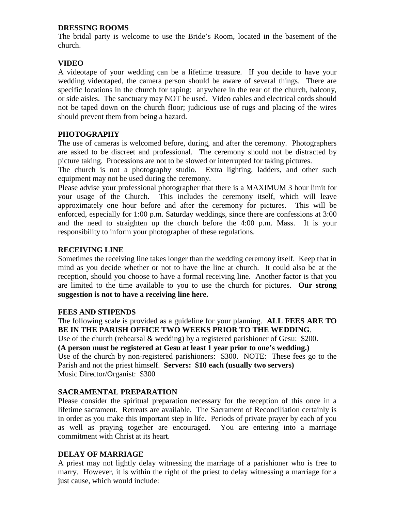## **DRESSING ROOMS**

The bridal party is welcome to use the Bride's Room, located in the basement of the church.

# **VIDEO**

A videotape of your wedding can be a lifetime treasure. If you decide to have your wedding videotaped, the camera person should be aware of several things. There are specific locations in the church for taping: anywhere in the rear of the church, balcony, or side aisles. The sanctuary may NOT be used. Video cables and electrical cords should not be taped down on the church floor; judicious use of rugs and placing of the wires should prevent them from being a hazard.

# **PHOTOGRAPHY**

The use of cameras is welcomed before, during, and after the ceremony. Photographers are asked to be discreet and professional. The ceremony should not be distracted by picture taking. Processions are not to be slowed or interrupted for taking pictures.

The church is not a photography studio. Extra lighting, ladders, and other such equipment may not be used during the ceremony.

Please advise your professional photographer that there is a MAXIMUM 3 hour limit for your usage of the Church. This includes the ceremony itself, which will leave approximately one hour before and after the ceremony for pictures. This will be enforced, especially for 1:00 p.m. Saturday weddings, since there are confessions at 3:00 and the need to straighten up the church before the 4:00 p.m. Mass. It is your responsibility to inform your photographer of these regulations.

# **RECEIVING LINE**

Sometimes the receiving line takes longer than the wedding ceremony itself. Keep that in mind as you decide whether or not to have the line at church. It could also be at the reception, should you choose to have a formal receiving line. Another factor is that you are limited to the time available to you to use the church for pictures. **Our strong suggestion is not to have a receiving line here.** 

# **FEES AND STIPENDS**

The following scale is provided as a guideline for your planning. **ALL FEES ARE TO BE IN THE PARISH OFFICE TWO WEEKS PRIOR TO THE WEDDING**.

Use of the church (rehearsal & wedding) by a registered parishioner of Gesu: \$200. **(A person must be registered at Gesu at least 1 year prior to one's wedding.)**  Use of the church by non-registered parishioners: \$300. NOTE: These fees go to the Parish and not the priest himself. **Servers: \$10 each (usually two servers)** Music Director/Organist: \$300

# **SACRAMENTAL PREPARATION**

Please consider the spiritual preparation necessary for the reception of this once in a lifetime sacrament. Retreats are available. The Sacrament of Reconciliation certainly is in order as you make this important step in life. Periods of private prayer by each of you as well as praying together are encouraged. You are entering into a marriage commitment with Christ at its heart.

# **DELAY OF MARRIAGE**

A priest may not lightly delay witnessing the marriage of a parishioner who is free to marry. However, it is within the right of the priest to delay witnessing a marriage for a just cause, which would include: